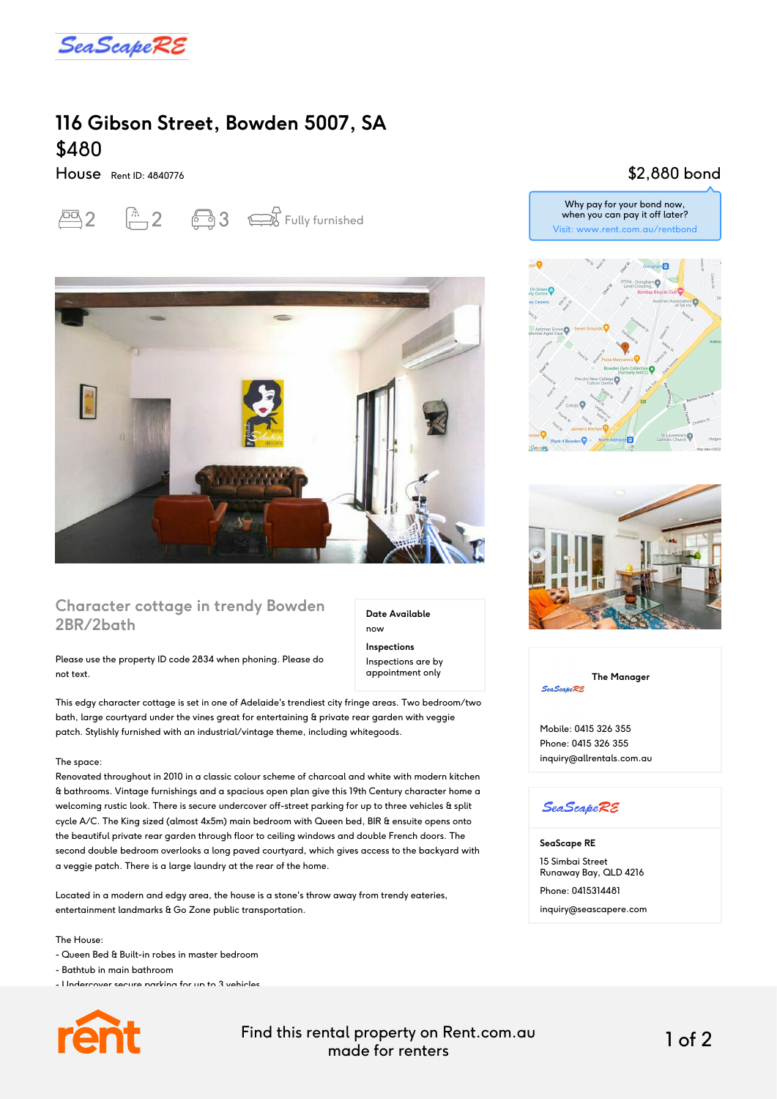

# **116 Gibson Street, Bowden 5007, SA** \$480

House Rent ID: 4840776





### **Character cottage in trendy Bowden 2BR/2bath**

Please use the property ID code 2834 when phoning. Please do not text.

This edgy character cottage is set in one of Adelaide's trendiest city fringe areas. Two bedroom/two bath, large courtyard under the vines great for entertaining & private rear garden with veggie patch. Stylishly furnished with an industrial/vintage theme, including whitegoods.

#### The space:

Renovated throughout in 2010 in a classic colour scheme of charcoal and white with modern kitchen & bathrooms. Vintage furnishings and a spacious open plan give this 19th Century character home a welcoming rustic look. There is secure undercover off-street parking for up to three vehicles & split cycle A/C. The King sized (almost 4x5m) main bedroom with Queen bed, BIR & ensuite opens onto the beautiful private rear garden through floor to ceiling windows and double French doors. The second double bedroom overlooks a long paved courtyard, which gives access to the backyard with a veggie patch. There is a large laundry at the rear of the home.

Located in a modern and edgy area, the house is a stone's throw away from trendy eateries, entertainment landmarks & Go Zone public transportation.

#### The House:

- Queen Bed & Built-in robes in master bedroom
- Bathtub in main bathroom

- Undercover secure parking for up to 3 vehicles



Find this rental property on Rent.com.au made for renters 1 of 2

**Date Available**

now **Inspections** Inspections are by appointment only

### \$2,880 bond

Why pay for your bond now, when you can pay it off later? Visit: www.rent.com.au/rentbond





**The Manager SeaScapeRE** 

Mobile: 0415 326 355 Phone: 0415 326 355 inquiry@allrentals.com.au

### **SeaScapeRE**

**SeaScape RE** 15 Simbai Street Runaway Bay, QLD 4216 Phone: 0415314481 inquiry@seascapere.com